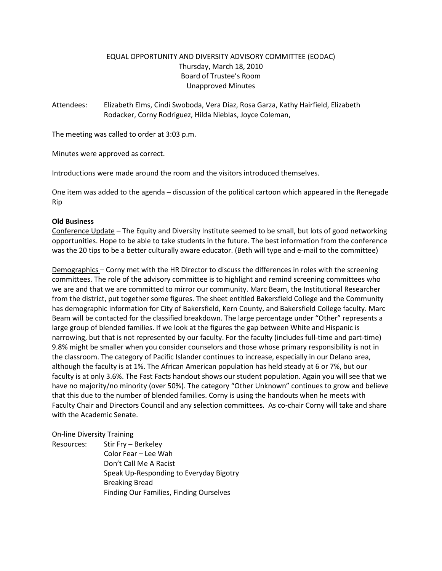# EQUAL OPPORTUNITY AND DIVERSITY ADVISORY COMMITTEE (EODAC) Thursday, March 18, 2010 Board of Trustee's Room Unapproved Minutes

Attendees: Elizabeth Elms, Cindi Swoboda, Vera Diaz, Rosa Garza, Kathy Hairfield, Elizabeth Rodacker, Corny Rodriguez, Hilda Nieblas, Joyce Coleman,

The meeting was called to order at 3:03 p.m.

Minutes were approved as correct.

Introductions were made around the room and the visitors introduced themselves.

One item was added to the agenda – discussion of the political cartoon which appeared in the Renegade Rip

# **Old Business**

Conference Update – The Equity and Diversity Institute seemed to be small, but lots of good networking opportunities. Hope to be able to take students in the future. The best information from the conference was the 20 tips to be a better culturally aware educator. (Beth will type and e-mail to the committee)

Demographics – Corny met with the HR Director to discuss the differences in roles with the screening committees. The role of the advisory committee is to highlight and remind screening committees who we are and that we are committed to mirror our community. Marc Beam, the Institutional Researcher from the district, put together some figures. The sheet entitled Bakersfield College and the Community has demographic information for City of Bakersfield, Kern County, and Bakersfield College faculty. Marc Beam will be contacted for the classified breakdown. The large percentage under "Other" represents a large group of blended families. If we look at the figures the gap between White and Hispanic is narrowing, but that is not represented by our faculty. For the faculty (includes full-time and part-time) 9.8% might be smaller when you consider counselors and those whose primary responsibility is not in the classroom. The category of Pacific Islander continues to increase, especially in our Delano area, although the faculty is at 1%. The African American population has held steady at 6 or 7%, but our faculty is at only 3.6%. The Fast Facts handout shows our student population. Again you will see that we have no majority/no minority (over 50%). The category "Other Unknown" continues to grow and believe that this due to the number of blended families. Corny is using the handouts when he meets with Faculty Chair and Directors Council and any selection committees. As co-chair Corny will take and share with the Academic Senate.

# On-line Diversity Training

Resources: Stir Fry – Berkeley Color Fear – Lee Wah Don't Call Me A Racist Speak Up-Responding to Everyday Bigotry Breaking Bread Finding Our Families, Finding Ourselves